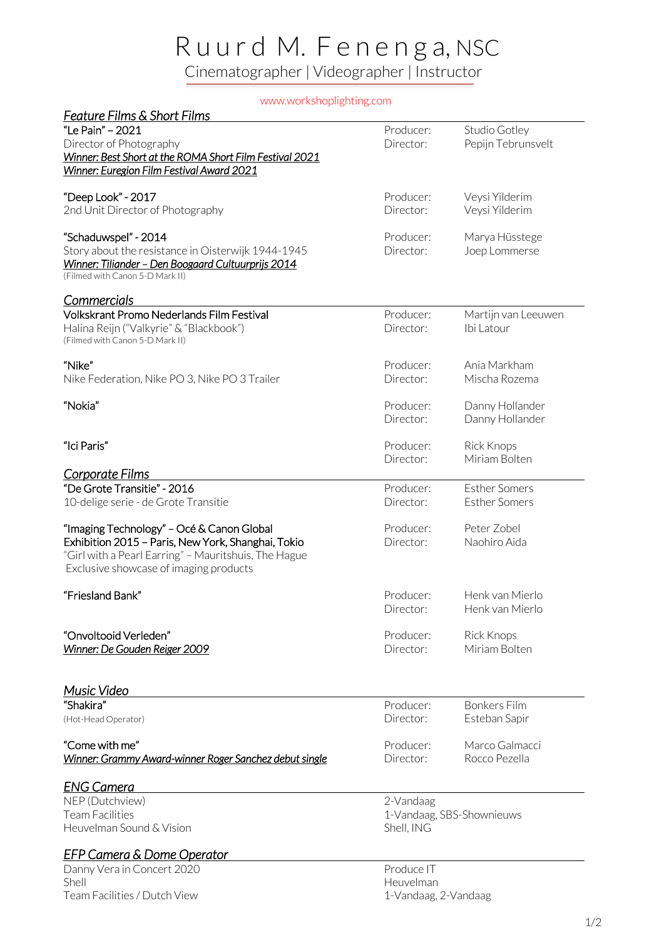## R u u r d M. F e n e n g a, NSC Cinematographer | Videographer | Instructor

www.workshoplighting.com

| Feature Films & Short Films                                                                                |                           |                               |
|------------------------------------------------------------------------------------------------------------|---------------------------|-------------------------------|
| "Le Pain" - 2021                                                                                           | Producer:                 | Studio Gotley                 |
| Director of Photography                                                                                    | Director:                 | Pepijn Tebrunsvelt            |
| Winner: Best Short at the ROMA Short Film Festival 2021                                                    |                           |                               |
| Winner: Euregion Film Festival Award 2021                                                                  |                           |                               |
| "Deep Look" - 2017                                                                                         | Producer:                 | Veysi Yilderim                |
| 2nd Unit Director of Photography                                                                           | Director:                 | Veysi Yilderim                |
|                                                                                                            |                           |                               |
| "Schaduwspel" - 2014                                                                                       | Producer:                 | Marya Hüsstege                |
| Story about the resistance in Oisterwijk 1944-1945                                                         | Director:                 | Joep Lommerse                 |
| Winner: Tiliander - Den Boogaard Cultuurprijs 2014                                                         |                           |                               |
| (Filmed with Canon 5-D Mark II)                                                                            |                           |                               |
| <u>Commercials</u>                                                                                         |                           |                               |
| Volkskrant Promo Nederlands Film Festival                                                                  | Producer:                 | Martijn van Leeuwen           |
| Halina Reijn ("Valkyrie" & "Blackbook")                                                                    | Director:                 | Ibi Latour                    |
| (Filmed with Canon 5-D Mark II)                                                                            |                           |                               |
| "Nike"                                                                                                     |                           |                               |
| Nike Federation, Nike PO 3, Nike PO 3 Trailer                                                              | Producer:<br>Director:    | Ania Markham<br>Mischa Rozema |
|                                                                                                            |                           |                               |
| "Nokia"                                                                                                    | Producer:                 | Danny Hollander               |
|                                                                                                            | Director:                 | Danny Hollander               |
|                                                                                                            |                           |                               |
| "Ici Paris"                                                                                                | Producer:                 | <b>Rick Knops</b>             |
|                                                                                                            | Director:                 | Miriam Bolten                 |
| <u>Corporate Films</u>                                                                                     |                           |                               |
| "De Grote Transitie" - 2016                                                                                | Producer:                 | <b>Esther Somers</b>          |
| 10-delige serie - de Grote Transitie                                                                       | Director:                 | <b>Esther Somers</b>          |
|                                                                                                            | Producer:                 | Peter Zobel                   |
| "Imaging Technology" - Océ & Canon Global                                                                  | Director:                 | Naohiro Aida                  |
| Exhibition 2015 - Paris, New York, Shanghai, Tokio<br>"Girl with a Pearl Earring" - Mauritshuis, The Hague |                           |                               |
| Exclusive showcase of imaging products                                                                     |                           |                               |
|                                                                                                            |                           |                               |
| "Friesland Bank"                                                                                           | Producer:                 | Henk van Mierlo               |
|                                                                                                            | Director:                 | Henk van Mierlo               |
|                                                                                                            |                           |                               |
| "Onvoltooid Verleden"                                                                                      | Producer:                 | <b>Rick Knops</b>             |
| Winner: De Gouden Reiger 2009                                                                              | Director:                 | Miriam Bolten                 |
|                                                                                                            |                           |                               |
| Music Video                                                                                                |                           |                               |
| "Shakira"                                                                                                  | Producer:                 | <b>Bonkers Film</b>           |
| (Hot-Head Operator)                                                                                        | Director:                 | Esteban Sapir                 |
|                                                                                                            |                           |                               |
| "Come with me"                                                                                             | Producer:                 | Marco Galmacci                |
| Winner: Grammy Award-winner Roger Sanchez debut single                                                     | Director:                 | Rocco Pezella                 |
| <b>ENG Camera</b>                                                                                          |                           |                               |
| NEP (Dutchview)                                                                                            | 2-Vandaag                 |                               |
| <b>Team Facilities</b>                                                                                     | 1-Vandaag, SBS-Shownieuws |                               |
| Heuvelman Sound & Vision                                                                                   | Shell, ING                |                               |
| <u>EFP Camera &amp; Dome Operator</u>                                                                      |                           |                               |
| Danny Vera in Concert 2020                                                                                 | Produce IT                |                               |
| Shell                                                                                                      | Heuvelman                 |                               |
| Team Facilities / Dutch View                                                                               | 1-Vandaag, 2-Vandaag      |                               |